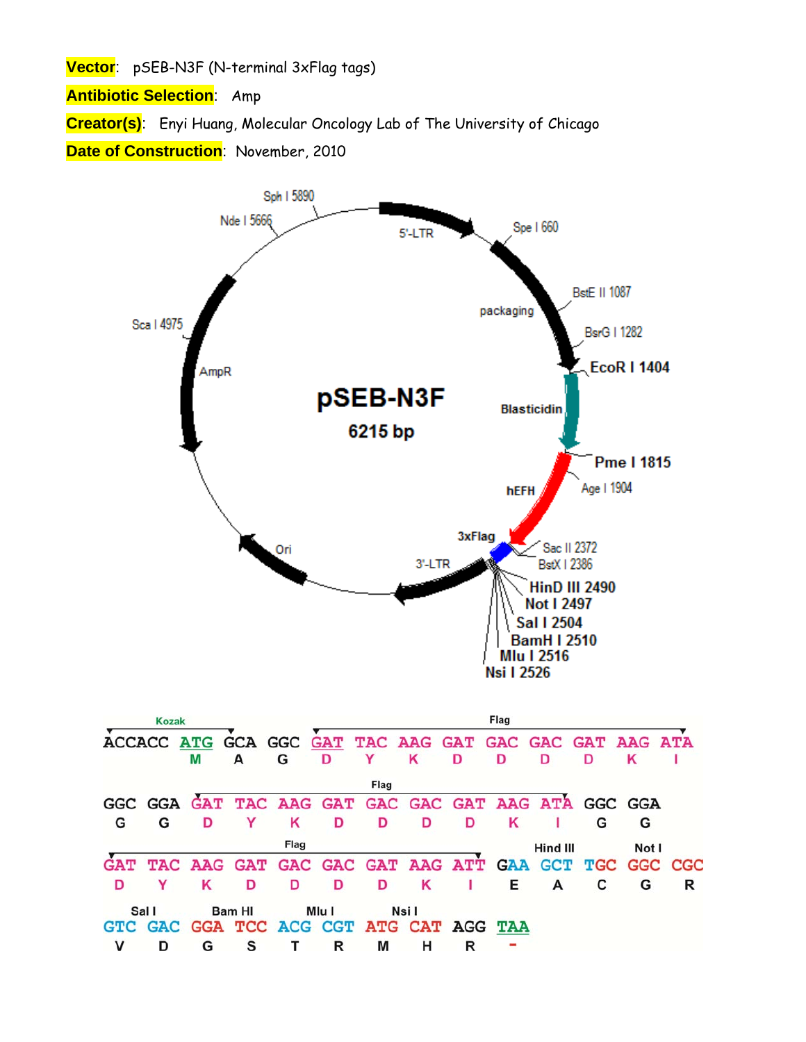**Vector**: pSEB-N3F (N-terminal 3xFlag tags)

**Antibiotic Selection**: Amp

**Creator(s)**: Enyi Huang, Molecular Oncology Lab of The University of Chicago

**Date of Construction**: November, 2010

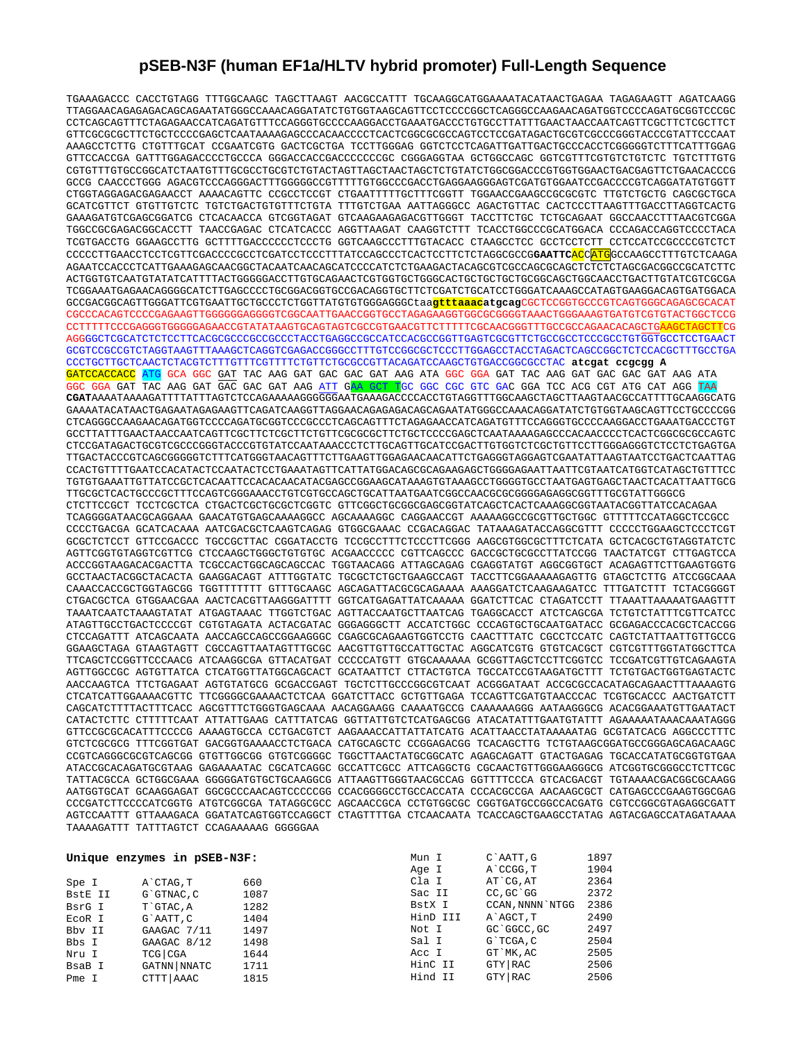## **pSEB-N3F (human EF1a/HLTV hybrid promoter) Full-Length Sequence**

TGAAAGACCC CACCTGTAGG TTTGGCAAGC TAGCTTAAGT AACGCCATTT TGCAAGGCATGGAAAATACATAACTGAGAA TAGAGAAGTT AGATCAAGG TTAGGAACAGAGAGACAGCAGAATATGGGCCAAACAGGATATCTGTGGTAAGCAGTTCCTCCCCGGCTCAGGGCCAAGAACAGATGGTCCCCAGATGCGGTCCCGC CCTCAGCAGTTTCTAGAGAACCATCAGATGTTTCCAGGGTGCCCCAAGGACCTGAAATGACCCTGTGCCTTATTTGAACTAACCAATCAGTTCGCTTCTCGCTTCT GTTCGCGCGCTTCTGCTCCCCGAGCTCAATAAAAGAGCCCACAACCCCTCACTCGGCGCGCCAGTCCTCCGATAGACTGCGTCGCCCGGGTACCCGTATTCCCAAT AAAGCCTCTTG CTGTTTGCAT CCGAATCGTG GACTCGCTGA TCCTTGGGAG GGTCTCCTCAGATTGATTGACTGCCCACCTCGGGGGTCTTTCATTTGGAG GTTCCACCGA GATTTGGAGACCCCTGCCCA GGGACCACCGACCCCCCCGC CGGGAGGTAA GCTGGCCAGC GGTCGTTTCGTGTCTGTCTC TGTCTTTGTG CGTGTTTGTGCCGGCATCTAATGTTTGCGCCTGCGTCTGTACTAGTTAGCTAACTAGCTCTGTATCTGGCGGACCCGTGGTGGAACTGACGAGTTCTGAACACCCG GCCG CAACCCTGGG AGACGTCCCAGGGACTTTGGGGGCCGTTTTTGTGGCCCGACCTGAGGAAGGGAGTCGATGTGGAATCCGACCCCGTCAGGATATGTGGTT CTGGTAGGAGACGAGAACCT AAAACAGTTC CCGCCTCCGT CTGAATTTTTGCTTTCGGTT TGGAACCGAAGCCGCGCGTC TTGTCTGCTG CAGCGCTGCA GCATCGTTCT GTGTTGTCTC TGTCTGACTGTGTTTCTGTA TTTGTCTGAA AATTAGGGCC AGACTGTTAC CACTCCCTTAAGTTTGACCTTAGGTCACTG GAAAGATGTCGAGCGGATCG CTCACAACCA GTCGGTAGAT GTCAAGAAGAGACGTTGGGT TACCTTCTGC TCTGCAGAAT GGCCAACCTTTAACGTCGGA TGGCCGCGAGACGGCACCTT TAACCGAGAC CTCATCACCC AGGTTAAGAT CAAGGTCTTT TCACCTGGCCCGCATGGACA CCCAGACCAGGTCCCCTACA TCGTGACCTG GGAAGCCTTG GCTTTTGACCCCCCTCCCTG GGTCAAGCCCTTTGTACACC CTAAGCCTCC GCCTCCTCTT CCTCCATCCGCCCCGTCTCT CCCCCTTGAACCTCCTCGTTCGACCCCGCCTCGATCCTCCCTTTATCCAGCCCTCACTCCTTCTCTAGGCGCCG**GAATTC**ACCATGGCCAAGCCTTTGTCTCAAGA AGAATCCACCCTCATTGAAAGAGCAACGGCTACAATCAACAGCATCCCCATCTCTGAAGACTACAGCGTCGCCAGCGCAGCTCTCTCTAGCGACGGCCGCATCTTC ACTGGTGTCAATGTATATCATTTTACTGGGGGACCTTGTGCAGAACTCGTGGTGCTGGGCACTGCTGCTGCTGCGGCAGCTGGCAACCTGACTTGTATCGTCGCGA TCGGAAATGAGAACAGGGGCATCTTGAGCCCCTGCGGACGGTGCCGACAGGTGCTTCTCGATCTGCATCCTGGGATCAAAGCCATAGTGAAGGACAGTGATGGACA GCCGACGGCAGTTGGGATTCGTGAATTGCTGCCCTCTGGTTATGTGTGGGAGGGCtaa**gtttaaacatgcag**CGCTCCGGTGCCCGTCAGTGGGCAGAGCGCACAT CGCCCACAGTCCCCGAGAAGTTGGGGGGAGGGGTCGGCAATTGAACCGGTGCCTAGAGAAGGTGGCGCGGGGTAAACTGGGAAAGTGATGTCGTGTACTGGCTCCG CCTTTTTCCCGAGGGTGGGGGAGAACCGTATATAAGTGCAGTAGTCGCCGTGAACGTTCTTTTTCGCAACGGGTTTGCCGCCAGAACACAGCTGAAGCTAGCTTCG AGGGGCTCGCATCTCTCCTTCACGCGCCCGCCGCCCTACCTGAGGCCGCCATCCACGCCGGTTGAGTCGCGTTCTGCCGCCTCCCGCCTGTGGTGCCTCCTGAACT GCGTCCGCCGTCTAGGTAAGTTTAAAGCTCAGGTCGAGACCGGGCCTTTGTCCGGCGCTCCCTTGGAGCCTACCTAGACTCAGCCGGCTCTCCACGCTTTGCCTGA CCCTGCTTGCTCAACTCTACGTCTTTGTTTCGTTTTCTGTTCTGCGCCGTTACAGATCCAAGCTGTGACCGGCGCCTAC **atcgat ccgcgg A**  GATCCACCACC ATG GCA GGC GAT TAC AAG GAT GAC GAC GAT AAG ATA GGC GGA GAT TAC AAG GAT GAC GAC GAT AAG ATA GGC GGA GAT TAC AAG GAT GAC GAC GAT AAG ATT GAA GCT TGC GGC CGC GTC GAC GGA TCC ACG CGT ATG CAT AGG TAA **CGAT**AAAATAAAAGATTTTATTTAGTCTCCAGAAAAAGGGGGGAATGAAAGACCCCACCTGTAGGTTTGGCAAGCTAGCTTAAGTAACGCCATTTTGCAAGGCATG GAAAATACATAACTGAGAATAGAGAAGTTCAGATCAAGGTTAGGAACAGAGAGACAGCAGAATATGGGCCAAACAGGATATCTGTGGTAAGCAGTTCCTGCCCCGG CTCAGGGCCAAGAACAGATGGTCCCCAGATGCGGTCCCGCCCTCAGCAGTTTCTAGAGAACCATCAGATGTTTCCAGGGTGCCCCAAGGACCTGAAATGACCCTGT GCCTTATTTGAACTAACCAATCAGTTCGCTTCTCGCTTCTGTTCGCGCGCTTCTGCTCCCCGAGCTCAATAAAAGAGCCCACAACCCCTCACTCGGCGCGCCAGTC רידר הארטונאמארים הראשונות המנויים המוכל הארטיים בת המנויים המוכל מהיום מהמוכל המוכל המוכל המוכל המוכל המוכל המ TTGACTACCCGTCAGCGGGGGTCTTTCATGGGTAACAGTTTCTTGAAGTTGGAGAACAACATTCTGAGGGTAGGAGTCGAATATTAAGTAATCCTGACTCAATTAG CCACTGTTTTGAATCCACATACTCCAATACTCCTGAAATAGTTCATTATGGACAGCGCAGAAGAGCTGGGGAGAATTAATTCGTAATCATGGTCATAGCTGTTTCC TGTGTGAAATTGTTATCCGCTCACAATTCCACACAACATACGAGCCGGAAGCATAAAGTGTAAAGCCTGGGGTGCCTAATGAGTGAGCTAACTCACATTAATTGCG TTGCGCTCACTGCCCGCTTTCCAGTCGGGAAACCTGTCGTGCCAGCTGCATTAATGAATCGGCCAACGCGCGGGGAGAGGCGGTTTGCGTATTGGGCG CTCTTCCGCT TCCTCGCTCA CTGACTCGCTGCGCTCGGTC GTTCGGCTGCGGCGAGCGGTATCAGCTCACTCAAAGGCGGTAATACGGTTATCCACAGAA TCAGGGGATAACGCAGGAAA GAACATGTGAGCAAAAGGCC AGCAAAAGGC CAGGAACCGT AAAAAGGCCGCGTTGCTGGC GTTTTTCCATAGGCTCCGCC CCCCTGACGA GCATCACAAA AATCGACGCTCAAGTCAGAG GTGGCGAAAC CCGACAGGAC TATAAAGATACCAGGCGTTT CCCCCTGGAAGCTCCCTCGT GCGCTCTCCT GTTCCGACCC TGCCGCTTAC CGGATACCTG TCCGCCTTTCTCCCTTCGGG AAGCGTGGCGCTTTCTCATA GCTCACGCTGTAGGTATCTC AGTTCGGTGTAGGTCGTTCG CTCCAAGCTGGGCTGTGTGC ACGAACCCCC CGTTCAGCCC GACCGCTGCGCCTTATCCGG TAACTATCGT CTTGAGTCCA ACCCGGTAAGACACGACTTA TCGCCACTGGCAGCAGCCAC TGGTAACAGG ATTAGCAGAG CGAGGTATGT AGGCGGTGCT ACAGAGTTCTTGAAGTGGTG GCCTAACTACGGCTACACTA GAAGGACAGT ATTTGGTATC TGCGCTCTGCTGAAGCCAGT TACCTTCGGAAAAAGAGTTG GTAGCTCTTG ATCCGGCAAA CAAACCACCGCTGGTAGCGG TGGTTTTTTT GTTTGCAAGC AGCAGATTACGCGCAGAAAA AAAGGATCTCAAGAAGATCC TTTGATCTTT TCTACGGGGT CTGACGCTCA GTGGAACGAA AACTCACGTTAAGGGATTTT GGTCATGAGATTATCAAAAA GGATCTTCAC CTAGATCCTT TTAAATTAAAAATGAAGTTT TAAATCAATCTAAAGTATAT ATGAGTAAAC TTGGTCTGAC AGTTACCAATGCTTAATCAG TGAGGCACCT ATCTCAGCGA TCTGTCTATTTCGTTCATCC ATAGTTGCCTGACTCCCCGT CGTGTAGATA ACTACGATAC GGGAGGGCTT ACCATCTGGC CCCAGTGCTGCAATGATACC GCGAGACCCACGCTCACCGG CTCCAGATTT ATCAGCAATA AACCAGCCAGCCGGAAGGGC CGAGCGCAGAAGTGGTCCTG CAACTTTATC CGCCTCCATC CAGTCTATTAATTGTTGCCG GGAAGCTAGA GTAAGTAGTT CGCCAGTTAATAGTTTGCGC AACGTTGTTGCCATTGCTAC AGGCATCGTG GTGTCACGCT CGTCGTTTGGTATGGCTTCA TTCAGCTCCGGTTCCCAACG ATCAAGGCGA GTTACATGAT CCCCCATGTT GTGCAAAAAA GCGGTTAGCTCCTTCGGTCC TCCGATCGTTGTCAGAAGTA AGTTGGCCGC AGTGTTATCA CTCATGGTTATGGCAGCACT GCATAATTCT CTTACTGTCA TGCCATCCGTAAGATGCTTT TCTGTGACTGGTGAGTACTC AACCAAGTCA TTCTGAGAAT AGTGTATGCG GCGACCGAGT TGCTCTTGCCCGGCGTCAAT ACGGGATAAT ACCGCGCCACATAGCAGAACTTTAAAAGTG CTCATCATTGGAAAACGTTC TTCGGGGCGAAAACTCTCAA GGATCTTACC GCTGTTGAGA TCCAGTTCGATGTAACCCAC TCGTGCACCC AACTGATCTT CAGCATCTTTTACTTTCACC AGCGTTTCTGGGTGAGCAAA AACAGGAAGG CAAAATGCCG CAAAAAAGGG AATAAGGGCG ACACGGAAATGTTGAATACT CATACTCTTC CTTTTTCAAT ATTATTGAAG CATTTATCAG GGTTATTGTCTCATGAGCGG ATACATATTTGAATGTATTT AGAAAAATAAACAAATAGGG GTTCCGCGCACATTTCCCCG AAAAGTGCCA CCTGACGTCT AAGAAACCATTATTATCATG ACATTAACCTATAAAAATAG GCGTATCACG AGGCCCTTTC GTCTCGCGCG TTTCGGTGAT GACGGTGAAAACCTCTGACA CATGCAGCTC CCGGAGACGG TCACAGCTTG TCTGTAAGCGGATGCCGGGAGCAGACAAGC CCGTCAGGGCGCGTCAGCGG GTGTTGGCGG GTGTCGGGGC TGGCTTAACTATGCGGCATC AGAGCAGATT GTACTGAGAG TGCACCATATGCGGTGTGAA ATACCGCACAGATGCGTAAG GAGAAAATAC CGCATCAGGC GCCATTCGCC ATTCAGGCTG CGCAACTGTTGGGAAGGGCG ATCGGTGCGGGCCTCTTCGC TATTACGCCA GCTGGCGAAA GGGGGATGTGCTGCAAGGCG ATTAAGTTGGGTAACGCCAG GGTTTTCCCA GTCACGACGT TGTAAAACGACGGCGCAAGG AATGGTGCAT GCAAGGAGAT GGCGCCCAACAGTCCCCCGG CCACGGGGCCTGCCACCATA CCCACGCCGA AACAAGCGCT CATGAGCCCGAAGTGGCGAG CCCGATCTTCCCCATCGGTG ATGTCGGCGA TATAGGCGCC AGCAACCGCA CCTGTGGCGC CGGTGATGCCGGCCACGATG CGTCCGGCGTAGAGGCGATT AGTCCAATTT GTTAAAGACA GGATATCAGTGGTCCAGGCT CTAGTTTTGA CTCAACAATA TCACCAGCTGAAGCCTATAG AGTACGAGCCATAGATAAAA TAAAAGATTT TATTTAGTCT CCAGAAAAAG GGGGGAA

|         | Unique enzymes in pSEB-N3F: |      | Mun I    | C`AATT, G        | 1897 |
|---------|-----------------------------|------|----------|------------------|------|
|         |                             |      | Age I    | A CCGG, T        | 1904 |
| Spe I   | A CTAG, T                   | 660  | Cla I    | AT CG, AT        | 2364 |
| BstE II | G`GTNAC, C                  | 1087 | Sac II   | CC, GC GG        | 2372 |
| BsrG I  | T`GTAC, A                   | 1282 | BstX I   | CCAN, NNNN `NTGG | 2386 |
| ECOR I  | G`AATT.C                    | 1404 | HinD III | A`AGCT, T        | 2490 |
| Bby II  | GAAGAC 7/11                 | 1497 | Not I    | GC GGCC, GC      | 2497 |
| Bbs I   | GAAGAC 8/12                 | 1498 | Sal I    | G`TCGA, C        | 2504 |
| Nru I   | $TCG$ $CGA$                 | 1644 | Acc I    | GT `MK, AC       | 2505 |
| BsaB I  | GATNN   NNATC               | 1711 | HinC II  | GTY RAC          | 2506 |
| Pme I   | CTTT AAAC                   | 1815 | Hind II  | GTY RAC          | 2506 |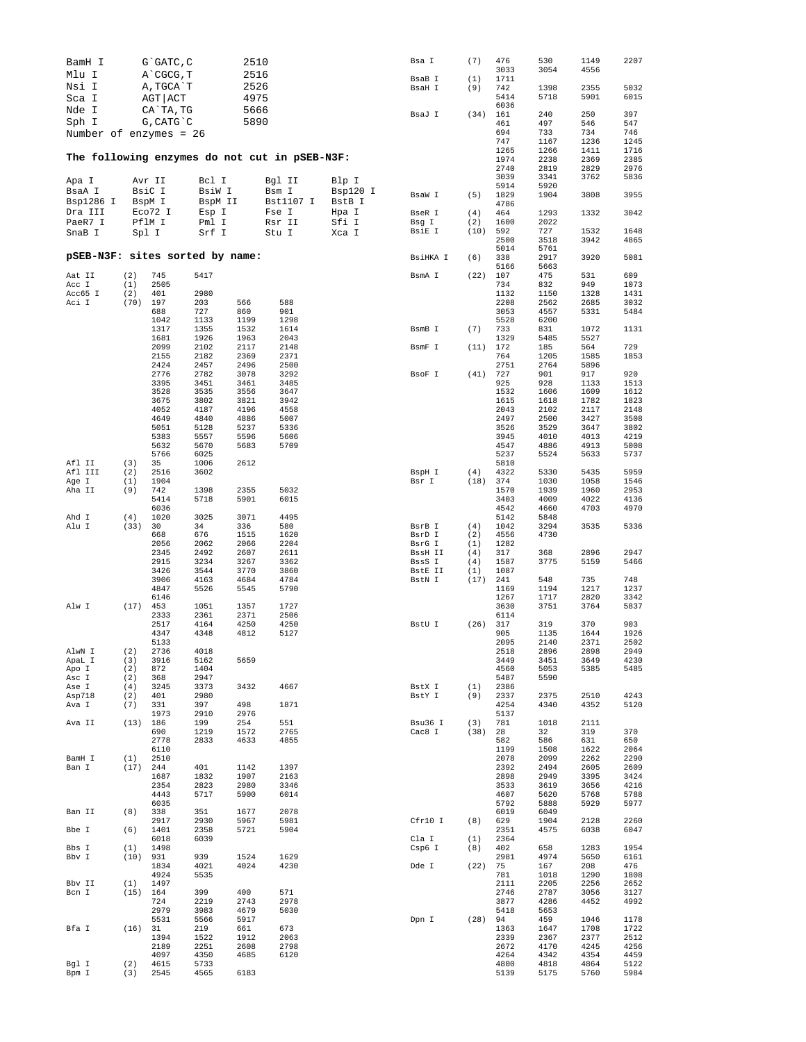| BamH I                          |            | G`GATC, C    |              | 2510         |                                               |          | Bsa I            | (7)        | 476<br>3033  | 530<br>3054  | 1149<br>4556 | 2207         |
|---------------------------------|------------|--------------|--------------|--------------|-----------------------------------------------|----------|------------------|------------|--------------|--------------|--------------|--------------|
| Mlu I                           |            | A CGCG, T    |              | 2516         |                                               |          | BsaB I           | (1)        | 1711         |              |              |              |
| Nsi I                           |            | A, TGCA T    |              | 2526         |                                               |          | BsaH I           | (9)        | 742          | 1398         | 2355         | 5032         |
| Sca I                           |            | AGT ACT      |              | 4975         |                                               |          |                  |            | 5414         | 5718         | 5901         | 6015         |
| Nde I                           |            | CA`TA, TG    |              | 5666         |                                               |          |                  |            | 6036         |              |              |              |
| Sph I                           |            | G, CATG C    |              | 5890         |                                               |          | BsaJ I           | (34)       | 161<br>461   | 240<br>497   | 250<br>546   | 397<br>547   |
| Number of enzymes = 26          |            |              |              |              |                                               |          |                  |            | 694          | 733          | 734          | 746          |
|                                 |            |              |              |              |                                               |          |                  |            | 747          | 1167         | 1236         | 1245         |
|                                 |            |              |              |              | The following enzymes do not cut in pSEB-N3F: |          |                  |            | 1265<br>1974 | 1266<br>2238 | 1411<br>2369 | 1716<br>2385 |
|                                 |            |              |              |              |                                               |          |                  |            | 2740         | 2819         | 2829         | 2976         |
| Apa I                           |            | Avr II       | Bcl I        |              | Bgl II                                        | Blp I    |                  |            | 3039         | 3341         | 3762         | 5836         |
| BsaA I                          |            | BsiC I       | BsiW I       |              | Bsm I                                         | Bsp120 I |                  |            | 5914         | 5920         |              |              |
| Bsp1286 I                       |            | BspM I       | BspM II      |              | Bst1107 I                                     | BstB I   | BsaW I           | (5)        | 1829<br>4786 | 1904         | 3808         | 3955         |
| Dra III                         |            | Eco72 I      | Esp I        |              | Fse I                                         | Hpa I    | BseR I           | (4)        | 464          | 1293         | 1332         | 3042         |
| PaeR7 I                         |            | PflM I       | Pml I        |              | Rsr II                                        | Sfi I    | Bsg I            | (2)        | 1600         | 2022         |              |              |
| SnaB I                          | Spl I      |              | Srf I        |              | Stu I                                         | Xca I    | BsiE I           | (10)       | 592          | 727          | 1532         | 1648         |
|                                 |            |              |              |              |                                               |          |                  |            | 2500<br>5014 | 3518<br>5761 | 3942         | 4865         |
| pSEB-N3F: sites sorted by name: |            |              |              |              |                                               |          | BsiHKA I         | (6)        | 338          | 2917         | 3920         | 5081         |
|                                 |            |              |              |              |                                               |          |                  |            | 5166         | 5663         |              |              |
| Aat II<br>Acc I                 | (2)<br>(1) | 745<br>2505  | 5417         |              |                                               |          | BsmA I           | (22)       | 107<br>734   | 475<br>832   | 531<br>949   | 609<br>1073  |
| Acc65 I                         | (2)        | 401          | 2980         |              |                                               |          |                  |            | 1132         | 1150         | 1328         | 1431         |
| Aci I                           | (70)       | 197          | 203          | 566          | 588                                           |          |                  |            | 2208         | 2562         | 2685         | 3032         |
|                                 |            | 688          | 727          | 860          | 901                                           |          |                  |            | 3053         | 4557         | 5331         | 5484         |
|                                 |            | 1042<br>1317 | 1133<br>1355 | 1199<br>1532 | 1298<br>1614                                  |          | BsmB I           | (7)        | 5528<br>733  | 6200<br>831  | 1072         | 1131         |
|                                 |            | 1681         | 1926         | 1963         | 2043                                          |          |                  |            | 1329         | 5485         | 5527         |              |
|                                 |            | 2099         | 2102         | 2117         | 2148                                          |          | BsmF I           | (11)       | 172          | 185          | 564          | 729          |
|                                 |            | 2155         | 2182         | 2369         | 2371                                          |          |                  |            | 764          | 1205         | 1585         | 1853         |
|                                 |            | 2424<br>2776 | 2457<br>2782 | 2496<br>3078 | 2500<br>3292                                  |          | BsoF I           | (41)       | 2751<br>727  | 2764<br>901  | 5896<br>917  | 920          |
|                                 |            | 3395         | 3451         | 3461         | 3485                                          |          |                  |            | 925          | 928          | 1133         | 1513         |
|                                 |            | 3528         | 3535         | 3556         | 3647                                          |          |                  |            | 1532         | 1606         | 1609         | 1612         |
|                                 |            | 3675         | 3802         | 3821         | 3942                                          |          |                  |            | 1615<br>2043 | 1618         | 1782         | 1823         |
|                                 |            | 4052<br>4649 | 4187<br>4840 | 4196<br>4886 | 4558<br>5007                                  |          |                  |            | 2497         | 2102<br>2500 | 2117<br>3427 | 2148<br>3508 |
|                                 |            | 5051         | 5128         | 5237         | 5336                                          |          |                  |            | 3526         | 3529         | 3647         | 3802         |
|                                 |            | 5383         | 5557         | 5596         | 5606                                          |          |                  |            | 3945         | 4010         | 4013         | 4219         |
|                                 |            | 5632<br>5766 | 5670<br>6025 | 5683         | 5709                                          |          |                  |            | 4547<br>5237 | 4886<br>5524 | 4913<br>5633 | 5008<br>5737 |
| Afl II                          | (3)        | 35           | 1006         | 2612         |                                               |          |                  |            | 5810         |              |              |              |
| Afl III                         | (2)        | 2516         | 3602         |              |                                               |          | BspH I           | (4)        | 4322         | 5330         | 5435         | 5959         |
| Age I                           | (1)        | 1904         |              |              |                                               |          | Bsr I            | (18)       | 374          | 1030         | 1058         | 1546         |
| Aha II                          | (9)        | 742<br>5414  | 1398<br>5718 | 2355<br>5901 | 5032<br>6015                                  |          |                  |            | 1570<br>3403 | 1939<br>4009 | 1960<br>4022 | 2953<br>4136 |
|                                 |            | 6036         |              |              |                                               |          |                  |            | 4542         | 4660         | 4703         | 4970         |
| Ahd I                           | (4)        | 1020         | 3025         | 3071         | 4495                                          |          |                  |            | 5142         | 5848         |              |              |
| Alu I                           | (33)       | 30           | 34           | 336          | 580                                           |          | BsrB I           | (4)        | 1042         | 3294         | 3535         | 5336         |
|                                 |            | 668<br>2056  | 676<br>2062  | 1515<br>2066 | 1620<br>2204                                  |          | BsrD I<br>BsrG I | (2)<br>(1) | 4556<br>1282 | 4730         |              |              |
|                                 |            | 2345         | 2492         | 2607         | 2611                                          |          | BssH II          | (4)        | 317          | 368          | 2896         | 2947         |
|                                 |            | 2915         | 3234         | 3267         | 3362                                          |          | BssS I           | (4)        | 1587         | 3775         | 5159         | 5466         |
|                                 |            | 3426         | 3544         | 3770         | 3860                                          |          | BstE II          | (1)        | 1087         |              |              |              |
|                                 |            | 3906<br>4847 | 4163<br>5526 | 4684<br>5545 | 4784<br>5790                                  |          | BstN I           | (17)       | 241<br>1169  | 548<br>1194  | 735<br>1217  | 748<br>1237  |
|                                 |            | 6146         |              |              |                                               |          |                  |            | 1267         | 1717         | 2820         | 3342         |
| Alw I                           | $(17)$ 453 |              | 1051         | 1357         | 1727                                          |          |                  |            | 3630         | 3751         | 3764         | 5837         |
|                                 |            | 2333<br>2517 | 2361<br>4164 | 2371<br>4250 | 2506<br>4250                                  |          | BstU I           | (26)       | 6114<br>317  | 319          | 370          | 903          |
|                                 |            | 4347         | 4348         | 4812         | 5127                                          |          |                  |            | 905          | 1135         | 1644         | 1926         |
|                                 |            | 5133         |              |              |                                               |          |                  |            | 2095         | 2140         | 2371         | 2502         |
| AlwN I                          | (2)        | 2736         | 4018         |              |                                               |          |                  |            | 2518         | 2896         | 2898         | 2949         |
| ApaL I<br>Apo I                 | (3)<br>(2) | 3916<br>872  | 5162<br>1404 | 5659         |                                               |          |                  |            | 3449<br>4560 | 3451<br>5053 | 3649<br>5385 | 4230<br>5485 |
| Asc I                           | (2)        | 368          | 2947         |              |                                               |          |                  |            | 5487         | 5590         |              |              |
| Ase I                           | (4)        | 3245         | 3373         | 3432         | 4667                                          |          | BstX I           | (1)        | 2386         |              |              |              |
| Asp718                          | (2)        | 401          | 2980         |              |                                               |          | BstY I           | (9)        | 2337         | 2375         | 2510         | 4243         |
| Ava I                           | (7)        | 331<br>1973  | 397<br>2910  | 498<br>2976  | 1871                                          |          |                  |            | 4254<br>5137 | 4340         | 4352         | 5120         |
| Ava II                          | (13) 186   |              | 199          | 254          | 551                                           |          | Bsu36 I          | (3)        | 781          | 1018         | 2111         |              |
|                                 |            | 690          | 1219         | 1572         | 2765                                          |          | Cac8 I           | (38)       | 28           | 32           | 319          | 370          |
|                                 |            | 2778<br>6110 | 2833         | 4633         | 4855                                          |          |                  |            | 582<br>1199  | 586<br>1508  | 631<br>1622  | 650<br>2064  |
| BamH I                          | (1)        | 2510         |              |              |                                               |          |                  |            | 2078         | 2099         | 2262         | 2290         |
| Ban I                           | $(17)$ 244 |              | 401          | 1142         | 1397                                          |          |                  |            | 2392         | 2494         | 2605         | 2609         |
|                                 |            | 1687         | 1832         | 1907         | 2163                                          |          |                  |            | 2898         | 2949         | 3395         | 3424         |
|                                 |            | 2354<br>4443 | 2823<br>5717 | 2980<br>5900 | 3346<br>6014                                  |          |                  |            | 3533<br>4607 | 3619<br>5620 | 3656<br>5768 | 4216<br>5788 |
|                                 |            | 6035         |              |              |                                               |          |                  |            | 5792         | 5888         | 5929         | 5977         |
| Ban II                          | (8)        | 338          | 351          | 1677         | 2078                                          |          |                  |            | 6019         | 6049         |              |              |
|                                 |            | 2917         | 2930         | 5967         | 5981                                          |          | Cfr10 I          | (8)        | 629          | 1904         | 2128         | 2260         |
| Bbe I                           | (6)        | 1401<br>6018 | 2358<br>6039 | 5721         | 5904                                          |          | Cla I            | (1)        | 2351<br>2364 | 4575         | 6038         | 6047         |
| Bbs I                           | (1)        | 1498         |              |              |                                               |          | Csp6 I           | (8)        | 402          | 658          | 1283         | 1954         |
| Bbv I                           | $(10)$ 931 |              | 939          | 1524         | 1629                                          |          |                  |            | 2981         | 4974         | 5650         | 6161         |
|                                 |            | 1834<br>4924 | 4021<br>5535 | 4024         | 4230                                          |          | Dde I            | (22)       | 75<br>781    | 167<br>1018  | 208<br>1290  | 476<br>1808  |
| Bbv II                          | (1)        | 1497         |              |              |                                               |          |                  |            | 2111         | 2205         | 2256         | 2652         |
| Bcn I                           | (15) 164   |              | 399          | 400          | 571                                           |          |                  |            | 2746         | 2787         | 3056         | 3127         |
|                                 |            | 724          | 2219         | 2743         | 2978                                          |          |                  |            | 3877         | 4286         | 4452         | 4992         |
|                                 |            | 2979<br>5531 | 3983<br>5566 | 4679<br>5917 | 5030                                          |          | Dpn I            | (28)       | 5418<br>94   | 5653<br>459  | 1046         | 1178         |
| Bfa I                           | $(16)$ 31  |              | 219          | 661          | 673                                           |          |                  |            | 1363         | 1647         | 1708         | 1722         |
|                                 |            | 1394         | 1522         | 1912         | 2063                                          |          |                  |            | 2339         | 2367         | 2377         | 2512         |
|                                 |            | 2189         | 2251         | 2608         | 2798                                          |          |                  |            | 2672         | 4170         | 4245         | 4256         |
| Bgl I                           | (2)        | 4097<br>4615 | 4350<br>5733 | 4685         | 6120                                          |          |                  |            | 4264<br>4800 | 4342<br>4818 | 4354<br>4864 | 4459<br>5122 |
| Bpm I                           | (3)        | 2545         | 4565         | 6183         |                                               |          |                  |            | 5139         | 5175         | 5760         | 5984         |
|                                 |            |              |              |              |                                               |          |                  |            |              |              |              |              |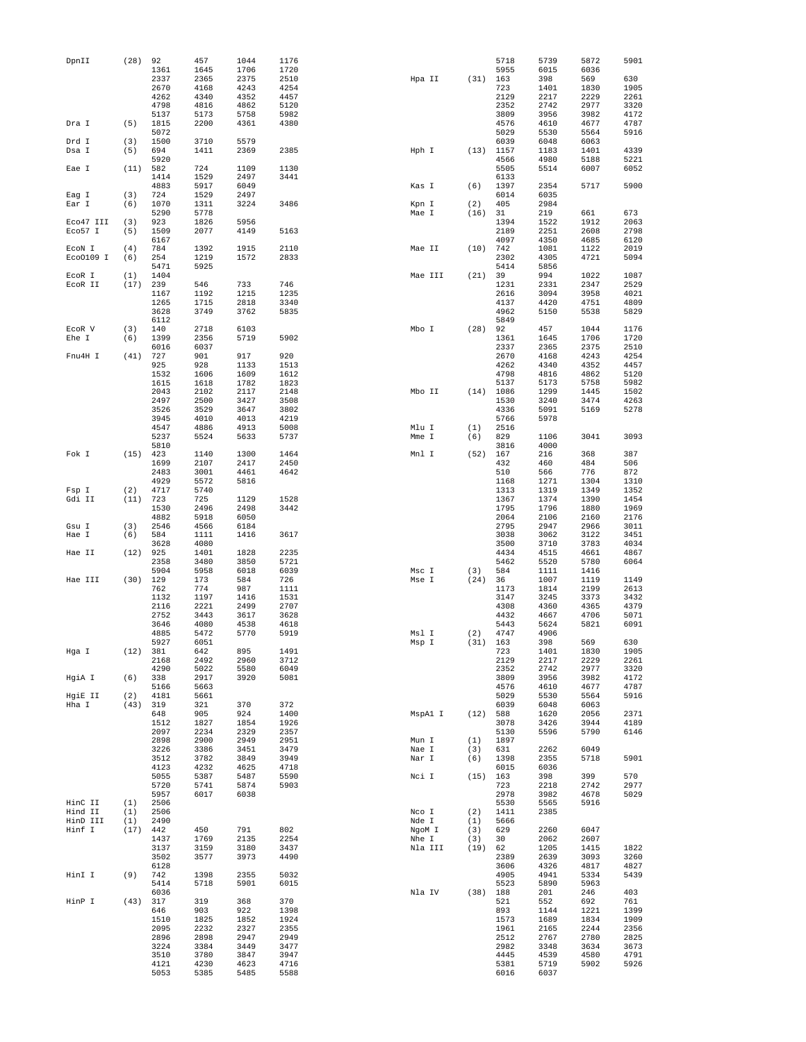| DpnII           | (28)       | 92           | 457          | 1044         | 1176         |         |         |             | 5718         | 5739         | 5872         | 5901         |
|-----------------|------------|--------------|--------------|--------------|--------------|---------|---------|-------------|--------------|--------------|--------------|--------------|
|                 |            | 1361         | 1645         | 1706         | 1720         |         |         |             | 5955         | 6015         | 6036         |              |
|                 |            | 2337         | 2365         | 2375         | 2510         | Hpa II  |         | (31)        | 163          | 398          | 569          | 630          |
|                 |            | 2670         | 4168         | 4243         | 4254         |         |         |             | 723          | 1401         | 1830         | 1905         |
|                 |            | 4262<br>4798 | 4340         | 4352         | 4457         |         |         |             | 2129         | 2217         | 2229         | 2261         |
|                 |            | 5137         | 4816<br>5173 | 4862<br>5758 | 5120<br>5982 |         |         |             | 2352<br>3809 | 2742<br>3956 | 2977<br>3982 | 3320<br>4172 |
| Dra I           | (5)        | 1815         | 2200         | 4361         | 4380         |         |         |             | 4576         | 4610         | 4677         | 4787         |
|                 |            | 5072         |              |              |              |         |         |             | 5029         | 5530         | 5564         | 5916         |
| Drd I           | (3)        | 1500         | 3710         | 5579         |              |         |         |             | 6039         | 6048         | 6063         |              |
| Dsa I           | (5)        | 694          | 1411         | 2369         | 2385         | Hph I   |         | (13)        | 1157         | 1183         | 1401         | 4339         |
|                 |            | 5920         |              |              |              |         |         |             | 4566         | 4980         | 5188         | 5221         |
| Eae I           | (11)       | 582          | 724          | 1109         | 1130         |         |         |             | 5505         | 5514         | 6007         | 6052         |
|                 |            | 1414         | 1529         | 2497         | 3441         |         |         |             | 6133         |              |              |              |
|                 |            | 4883         | 5917         | 6049         |              | Kas I   |         | (6)         | 1397         | 2354         | 5717         | 5900         |
| Eag I           | (3)        | 724          | 1529         | 2497         |              |         |         |             | 6014         | 6035         |              |              |
| Ear I           | (6)        | 1070         | 1311         | 3224         | 3486         | Kpn I   |         | (2)         | 405          | 2984         |              |              |
| Eco47 III       | (3)        | 5290<br>923  | 5778<br>1826 | 5956         |              | Mae I   |         | (16)        | 31<br>1394   | 219          | 661<br>1912  | 673<br>2063  |
| Eco57 I         | (5)        | 1509         | 2077         | 4149         | 5163         |         |         |             | 2189         | 1522<br>2251 | 2608         | 2798         |
|                 |            | 6167         |              |              |              |         |         |             | 4097         | 4350         | 4685         | 6120         |
| ECON I          | (4)        | 784          | 1392         | 1915         | 2110         | Mae II  |         | (10)        | 742          | 1081         | 1122         | 2019         |
| Eco0109 I       | (6)        | 254          | 1219         | 1572         | 2833         |         |         |             | 2302         | 4305         | 4721         | 5094         |
|                 |            | 5471         | 5925         |              |              |         |         |             | 5414         | 5856         |              |              |
| ECOR I          | (1)        | 1404         |              |              |              | Mae III |         | (21)        | 39           | 994          | 1022         | 1087         |
| ECOR II         | (17)       | 239          | 546          | 733          | 746          |         |         |             | 1231         | 2331         | 2347         | 2529         |
|                 |            | 1167         | 1192         | 1215         | 1235         |         |         |             | 2616         | 3094         | 3958         | 4021         |
|                 |            | 1265         | 1715         | 2818         | 3340         |         |         |             | 4137         | 4420         | 4751         | 4809         |
|                 |            | 3628         | 3749         | 3762         | 5835         |         |         |             | 4962         | 5150         | 5538         | 5829         |
|                 |            | 6112<br>140  |              | 6103         |              | Mbo I   |         | (28)        | 5849<br>92   |              | 1044         | 1176         |
| ECOR V<br>Ehe I | (3)<br>(6) | 1399         | 2718<br>2356 | 5719         | 5902         |         |         |             | 1361         | 457<br>1645  | 1706         | 1720         |
|                 |            | 6016         | 6037         |              |              |         |         |             | 2337         | 2365         | 2375         | 2510         |
| Fnu4H I         | (41)       | 727          | 901          | 917          | 920          |         |         |             | 2670         | 4168         | 4243         | 4254         |
|                 |            | 925          | 928          | 1133         | 1513         |         |         |             | 4262         | 4340         | 4352         | 4457         |
|                 |            | 1532         | 1606         | 1609         | 1612         |         |         |             | 4798         | 4816         | 4862         | 5120         |
|                 |            | 1615         | 1618         | 1782         | 1823         |         |         |             | 5137         | 5173         | 5758         | 5982         |
|                 |            | 2043         | 2102         | 2117         | 2148         | Mbo II  |         | $(14)$ 1086 |              | 1299         | 1445         | 1502         |
|                 |            | 2497         | 2500         | 3427         | 3508         |         |         |             | 1530         | 3240         | 3474         | 4263         |
|                 |            | 3526         | 3529         | 3647         | 3802         |         |         |             | 4336         | 5091         | 5169         | 5278         |
|                 |            | 3945         | 4010         | 4013         | 4219         |         |         |             | 5766         | 5978         |              |              |
|                 |            | 4547         | 4886         | 4913         | 5008         | Mlu I   |         | (1)         | 2516         |              |              |              |
|                 |            | 5237         | 5524         | 5633         | 5737         | Mme I   |         | (6)         | 829          | 1106         | 3041         | 3093         |
| Fok I           | $(15)$ 423 | 5810         | 1140         | 1300         | 1464         | Mnl I   |         | (52)        | 3816<br>167  | 4000<br>216  | 368          | 387          |
|                 |            | 1699         | 2107         | 2417         | 2450         |         |         |             | 432          | 460          | 484          | 506          |
|                 |            | 2483         | 3001         | 4461         | 4642         |         |         |             | 510          | 566          | 776          | 872          |
|                 |            | 4929         | 5572         | 5816         |              |         |         |             | 1168         | 1271         | 1304         | 1310         |
| Fsp I           | (2)        | 4717         | 5740         |              |              |         |         |             | 1313         | 1319         | 1349         | 1352         |
| Gdi II          | (11)       | 723          | 725          | 1129         | 1528         |         |         |             | 1367         | 1374         | 1390         | 1454         |
|                 |            | 1530         | 2496         | 2498         | 3442         |         |         |             | 1795         | 1796         | 1880         | 1969         |
|                 |            | 4882         | 5918         | 6050         |              |         |         |             | 2064         | 2106         | 2160         | 2176         |
| Gsu I           | (3)        | 2546         | 4566         | 6184         |              |         |         |             | 2795         | 2947         | 2966         | 3011         |
| Hae I           | (6)        | 584          | 1111         | 1416         | 3617         |         |         |             | 3038         | 3062         | 3122         | 3451         |
|                 |            | 3628         | 4080         |              |              |         |         |             | 3500         | 3710         | 3783         | 4034         |
| Hae II          | (12)       | 925<br>2358  | 1401         | 1828<br>3850 | 2235<br>5721 |         |         |             | 4434         | 4515         | 4661         | 4867<br>6064 |
|                 |            | 5904         | 3480<br>5958 | 6018         | 6039         | Msc I   |         | (3)         | 5462<br>584  | 5520<br>1111 | 5780<br>1416 |              |
| Hae III         | (30)       | 129          | 173          | 584          | 726          | Mse I   |         | (24)        | 36           | 1007         | 1119         | 1149         |
|                 |            | 762          | 774          | 987          | 1111         |         |         |             | 1173         | 1814         | 2199         | 2613         |
|                 |            | 1132         | 1197         | 1416         | 1531         |         |         |             | 3147         | 3245         | 3373         | 3432         |
|                 |            | 2116         | 2221         | 2499         | 2707         |         |         |             | 4308         | 4360         | 4365         | 4379         |
|                 |            | 2752         | 3443         | 3617         | 3628         |         |         |             | 4432         | 4667         | 4706         | 5071         |
|                 |            | 3646         | 4080         | 4538         | 4618         |         |         |             | 5443         | 5624         | 5821         | 6091         |
|                 |            | 4885         | 5472         | 5770         | 5919         | Msl I   |         | (2)         | 4747         | 4906         |              |              |
|                 |            | 5927         | 6051         |              |              | Msp I   |         | (31)        | 163          | 398          | 569          | 630          |
| Hga I           | (12)       | 381<br>2168  | 642<br>2492  | 895<br>2960  | 1491<br>3712 |         |         |             | 723<br>2129  | 1401         | 1830         | 1905<br>2261 |
|                 |            | 4290         | 5022         | 5580         | 6049         |         |         |             | 2352         | 2217<br>2742 | 2229<br>2977 | 3320         |
| HgiA I          | (6)        | 338          | 2917         | 3920         | 5081         |         |         |             | 3809         | 3956         | 3982         | 4172         |
|                 |            | 5166         | 5663         |              |              |         |         |             | 4576         | 4610         | 4677         | 4787         |
| HgiE II         | (2)        | 4181         | 5661         |              |              |         |         |             | 5029         | 5530         | 5564         | 5916         |
| Hha I           | (43)       | 319          | 321          | 370          | 372          |         |         |             | 6039         | 6048         | 6063         |              |
|                 |            | 648          | 905          | 924          | 1400         |         | MspAl I | (12)        | 588          | 1620         | 2056         | 2371         |
|                 |            | 1512         | 1827         | 1854         | 1926         |         |         |             | 3078         | 3426         | 3944         | 4189         |
|                 |            | 2097         | 2234         | 2329         | 2357         |         |         |             | 5130         | 5596         | 5790         | 6146         |
|                 |            | 2898         | 2900         | 2949         | 2951         | Mun I   |         | (1)         | 1897         |              |              |              |
|                 |            | 3226         | 3386         | 3451         | 3479         | Nae I   |         | (3)         | 631          | 2262         | 6049         |              |
|                 |            | 3512<br>4123 | 3782<br>4232 | 3849<br>4625 | 3949<br>4718 | Nar I   |         | (6)         | 1398<br>6015 | 2355<br>6036 | 5718         | 5901         |
|                 |            | 5055         | 5387         | 5487         | 5590         | Nci I   |         | (15)        | 163          | 398          | 399          | 570          |
|                 |            | 5720         | 5741         | 5874         | 5903         |         |         |             | 723          | 2218         | 2742         | 2977         |
|                 |            | 5957         | 6017         | 6038         |              |         |         |             | 2978         | 3982         | 4678         | 5029         |
| HinC II         | (1)        | 2506         |              |              |              |         |         |             | 5530         | 5565         | 5916         |              |
| Hind II         | (1)        | 2506         |              |              |              | Nco I   |         | (2)         | 1411         | 2385         |              |              |
| HinD III        | (1)        | 2490         |              |              |              | Nde I   |         | (1)         | 5666         |              |              |              |
| Hinf I          | (17)       | 442          | 450          | 791          | 802          | NgoM I  |         | (3)         | 629          | 2260         | 6047         |              |
|                 |            | 1437         | 1769         | 2135         | 2254         | Nhe I   |         | (3)         | 30           | 2062         | 2607         |              |
|                 |            | 3137         | 3159         | 3180         | 3437         | Nla III |         | (19)        | 62           | 1205         | 1415         | 1822         |
|                 |            | 3502<br>6128 | 3577         | 3973         | 4490         |         |         |             | 2389<br>3606 | 2639<br>4326 | 3093<br>4817 | 3260         |
| HinI I          | (9)        | 742          | 1398         | 2355         | 5032         |         |         |             | 4905         | 4941         | 5334         | 4827<br>5439 |
|                 |            | 5414         | 5718         | 5901         | 6015         |         |         |             | 5523         | 5890         | 5963         |              |
|                 |            | 6036         |              |              |              | Nla IV  |         | (38)        | 188          | 201          | 246          | 403          |
| HinP I          | (43)       | 317          | 319          | 368          | 370          |         |         |             | 521          | 552          | 692          | 761          |
|                 |            | 646          | 903          | 922          | 1398         |         |         |             | 893          | 1144         | 1221         | 1399         |
|                 |            | 1510         | 1825         | 1852         | 1924         |         |         |             | 1573         | 1689         | 1834         | 1909         |
|                 |            | 2095         | 2232         | 2327         | 2355         |         |         |             | 1961         | 2165         | 2244         | 2356         |
|                 |            | 2896         | 2898         | 2947         | 2949         |         |         |             | 2512         | 2767         | 2780         | 2825         |
|                 |            | 3224         | 3384         | 3449         | 3477         |         |         |             | 2982         | 3348         | 3634         | 3673         |
|                 |            | 3510         | 3780         | 3847         | 3947         |         |         |             | 4445         | 4539         | 4580         | 4791         |
|                 |            | 4121         | 4230         | 4623         | 4716         |         |         |             | 5381         | 5719         | 5902         | 5926         |
|                 |            | 5053         | 5385         | 5485         | 5588         |         |         |             | 6016         | 6037         |              |              |